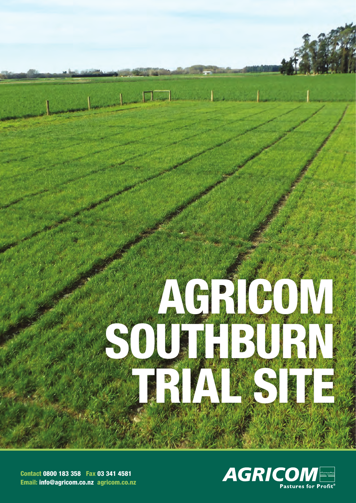

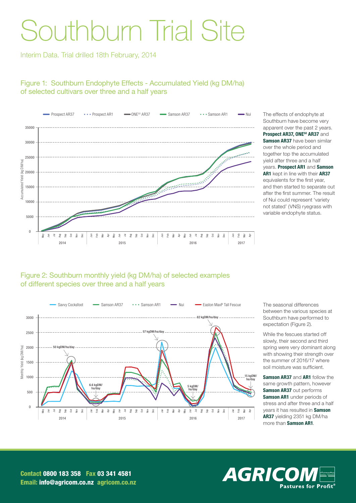# Southburn Trial Site

Interim Data. Trial drilled 18th February, 2014

## Figure 1: Southburn Endophyte Effects - Accumulated Yield (kg DM/ha) of selected cultivars over three and a half years



The effects of endophyte at Southburn have become very apparent over the past 2 years. Prospect AR37, ONE<sup>50</sup> AR37 and Samson AR37 have been similar over the whole period and together top the accumulated yield after three and a half years. Prospect AR1 and Samson AR1 kept in line with their AR37 equivalents for the first year, and then started to separate out after the first summer. The result of Nui could represent 'variety not stated' (VNS) ryegrass with variable endophyte status.

#### Figure 2: Southburn monthly yield (kg DM/ha) of selected examples of different species over three and a half years



The seasonal differences between the various species at Southburn have performed to expectation (Figure 2).

While the fescues started off slowly, their second and third spring were very dominant along with showing their strength over the summer of 2016/17 where soil moisture was sufficient.

Samson AR37 and AR1 follow the same growth pattern, however Samson AR37 out performs Samson AR1 under periods of stress and after three and a half years it has resulted in Samson AR37 yielding 2351 kg DM/ha more than **Samson AR1**.

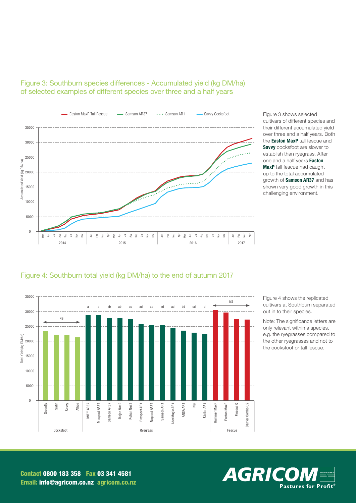

## Figure 3: Southburn species differences - Accumulated yield (kg DM/ha) of selected examples of different species over three and a half years

Figure 3 shows selected cultivars of different species and their different accumulated yield over three and a half years. Both the **Easton MaxP** tall fescue and **Savvy** cocksfoot are slower to establish than ryegrass. After one and a half years **Easton MaxP** tall fescue had caught up to the total accumulated growth of **Samson AR37** and has shown very good growth in this challenging environment.

#### Figure 4: Southburn total yield (kg DM/ha) to the end of autumn 2017



Figure 4 shows the replicated cultivars at Southburn separated out in to their species.

Note: The significance letters are only relevant within a species, e.g. the ryegrasses compared to the other ryegrasses and not to the cocksfoot or tall fescue.

AGRICO **Pastures for Profit®**